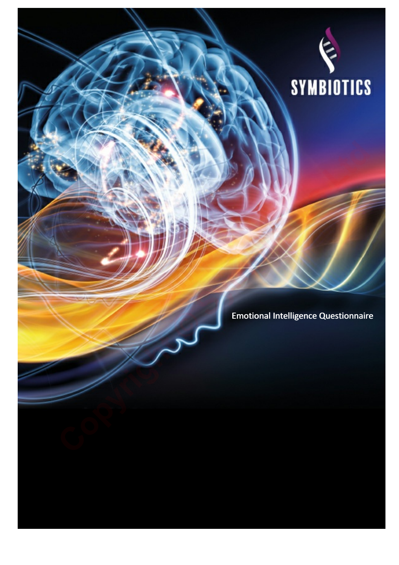

**Sample**  Emotional Intelligence Questionnaire Emotional **Copyright Copyright Copyright Copyright Copyright Copyright Copyright Copyright Copyright Copyright Copyright Copyright Copyright Copyright Copyright Copyright Copyright Copyright Copyright Copyright Copyright Copyright C**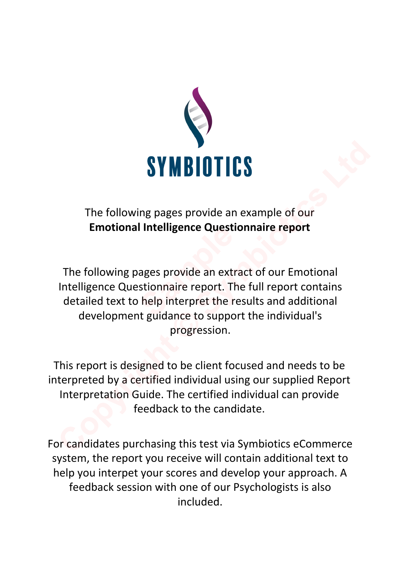

# The following pages provide an example of our **Emotional Intelligence Questionnaire report**

The following pages provide an extract of our Emotional Intelligence Questionnaire report. The full report contains detailed text to help interpret the results and additional development guidance to support the individual's progression. **Intelligence Questio**<br>
ages provide an extra<br>
stionnaire report. The<br>
help interpret the res<br>
it guidance to sunnort **COPY THE SYMBIOTICS**<br>
The following pages provide an example of our<br>
Emotional Intelligence Questionnaire report<br>
The following pages provide an extract of our Emotional<br>
Intelligence Questionnaire report. The full report

This report is designed to be client focused and needs to be interpreted by a certified individual using our supplied Report Interpretation Guide. The certified individual can provide feedback to the candidate.

For candidates purchasing this test via Symbiotics eCommerce system, the report you receive will contain additional text to help you interpet your scores and develop your approach. A feedback session with one of our Psychologists is also included.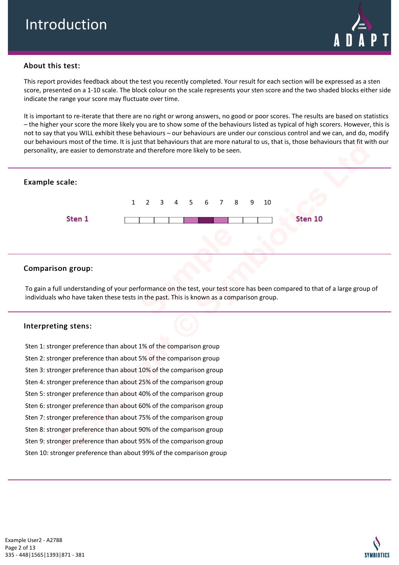

## About this test:

This report provides feedback about the test you recently completed. Your result for each section will be expressed as a sten score, presented on a 1-10 scale. The block colour on the scale represents your sten score and the two shaded blocks either side indicate the range your score may fluctuate over time.

It is important to re-iterate that there are no right or wrong answers, no good or poor scores. The results are based on statistics – the higher your score the more likely you are to show some of the behaviours listed as typical of high scorers. However, this is not to say that you WILL exhibit these behaviours – our behaviours are under our conscious control and we can, and do, modify our behaviours most of the time. It is just that behaviours that are more natural to us, that is, those behaviours that fit with our personality, are easier to demonstrate and therefore more likely to be seen.



## Comparison group:

To gain a full understanding of your performance on the test, your test score has been compared to that of a large group of individuals who have taken these tests in the past. This is known as a comparison group.

#### Interpreting stens:

Sten 1: stronger preference than about 1% of the comparison group Sten 2: stronger preference than about 5% of the comparison group Sten 3: stronger preference than about 10% of the comparison group Sten 4: stronger preference than about 25% of the comparison group Sten 5: stronger preference than about 40% of the comparison group Sten 6: stronger preference than about 60% of the comparison group Sten 7: stronger preference than about 75% of the comparison group Sten 8: stronger preference than about 90% of the comparison group Sten 9: stronger preference than about 95% of the comparison group Sten 10: stronger preference than about 99% of the comparison group

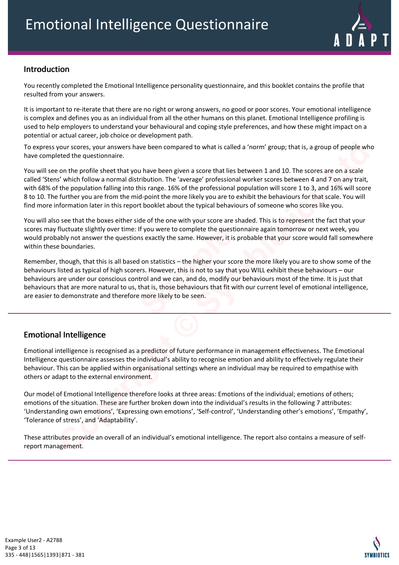

# Introduction

You recently completed the Emotional Intelligence personality questionnaire, and this booklet contains the profile that resulted from your answers.

It is important to re-iterate that there are no right or wrong answers, no good or poor scores. Your emotional intelligence is complex and defines you as an individual from all the other humans on this planet. Emotional Intelligence profiling is used to help employers to understand your behavioural and coping style preferences, and how these might impact on a potential or actual career, job choice or development path.

To express your scores, your answers have been compared to what is called a 'norm' group; that is, a group of people who have completed the questionnaire.

You will see on the profile sheet that you have been given a score that lies between 1 and 10. The scores are on a scale called 'Stens' which follow a normal distribution. The 'average' professional worker scores between 4 and 7 on any trait, with 68% of the population falling into this range. 16% of the professional population will score 1 to 3, and 16% will score 8 to 10. The further you are from the mid-point the more likely you are to exhibit the behaviours for that scale. You will find more information later in this report booklet about the typical behaviours of someone who scores like you. your scores, your answers have been compared to what is called a "norm" group; that is, a group of people whe<br>conted the questionnaire.<br>The which follow a normal distribution . The "average" professional worker scores betw

You will also see that the boxes either side of the one with your score are shaded. This is to represent the fact that your scores may fluctuate slightly over time: If you were to complete the questionnaire again tomorrow or next week, you would probably not answer the questions exactly the same. However, it is probable that your score would fall somewhere within these boundaries.

Remember, though, that this is all based on statistics – the higher your score the more likely you are to show some of the behaviours listed as typical of high scorers. However, this is not to say that you WILL exhibit these behaviours – our behaviours are under our conscious control and we can, and do, modify our behaviours most of the time. It is just that behaviours that are more natural to us, that is, those behaviours that fit with our current level of emotional intelligence, are easier to demonstrate and therefore more likely to be seen. If you were to complete the question<br>In exactly the same. However, it is pro<br>I on statistics – the higher your score<br>Is and the same of the sample of the same that yer and do, modify our that is, those behaviours that fit

## Emotional Intelligence

Emotional intelligence is recognised as a predictor of future performance in management effectiveness. The Emotional Intelligence questionnaire assesses the individual's ability to recognise emotion and ability to effectively regulate their behaviour. This can be applied within organisational settings where an individual may be required to empathise with others or adapt to the external environment.

Our model of Emotional Intelligence therefore looks at three areas: Emotions of the individual; emotions of others; emotions of the situation. These are further broken down into the individual's results in the following 7 attributes: 'Understanding own emotions', 'Expressing own emotions', 'Self-control', 'Understanding other's emotions', 'Empathy', 'Tolerance of stress', and 'Adaptability'.

These attributes provide an overall of an individual's emotional intelligence. The report also contains a measure of selfreport management.

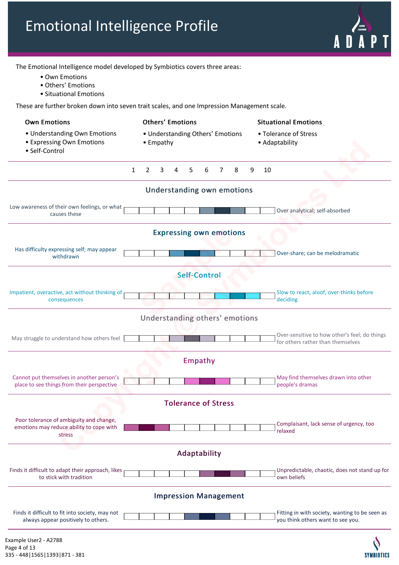The Emotional Intelligence model developed by Symbiotics covers three areas: tional Intelligence m<br>• Own Emotions<br>• Others' Emotions • Own Emotions<br>• Own Emotions<br>• Others' Emotions<br>• Situational Emotions

- 
- Own Emotions<br>• Others' Emotions<br>• Situational Emotions
- 

These are further broken down into seven trait scales, and one Impression Management scale.